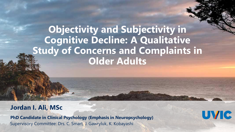### **Objectivity and Subjectivity in Cognitive Decline: A Qualitative Study of Concerns and Complaints in Older Adults**

**UVIC** 

#### **Jordan I. Ali, MSc**

**PhD Candidate in Clinical Psychology (Emphasis in Neuropsychology)** Supervisory Committee: Drs. C. Smart, J. Gawryluk, K. Kobayashi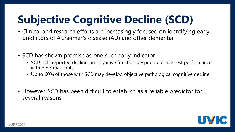## **Subjective Cognitive Decline (SCD)**

- Clinical and research efforts are increasingly focused on identifying early predictors of Alzheimer's disease (AD) and other dementia
- SCD has shown promise as one such early indicator
	- SCD: self-reported declines in cognitive function despite objective test performance within normal limits.
	- Up to 60% of those with SCD may develop objective pathological cognitive decline.
- However, SCD has been difficult to establish as a reliable predictor for several reasons

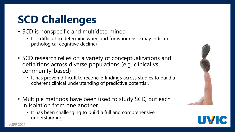## **SCD Challenges**

- SCD is nonspecific and multidetermined
	- It is difficult to determine when and for whom SCD may indicate pathological cognitive decline/
- SCD research relies on a variety of conceptualizations and definitions across diverse populations (e.g. clinical vs. community-based)
	- It has proven difficult to reconcile findings across studies to build a coherent clinical understanding of predictive potential.
- Multiple methods have been used to study SCD, but each in isolation from one another.
	- It has been challenging to build a full and comprehensive understanding.

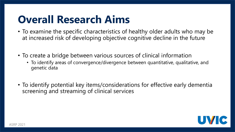## **Overall Research Aims**

- To examine the specific characteristics of healthy older adults who may be at increased risk of developing objective cognitive decline in the future
- To create a bridge between various sources of clinical information
	- To identify areas of convergence/divergence between quantitative, qualitative, and genetic data
- To identify potential key items/considerations for effective early dementia screening and streaming of clinical services

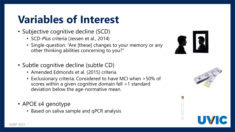## **Variables of Interest**

- Subjective cognitive decline (SCD)
	- SCD-*Plus* criteria (Jessen et al., 2014)
	- Single-question: "Are [these] changes to your memory or any other thinking abilities concerning to you?"
- Subtle cognitive decline (subtle CD)
	- Amended Edmonds et al. (2015) criteria
	- Exclusionary criteria: Considered to have MCI when >50% of scores within a given cognitive domain fell >1 standard deviation below the age-normative mean.
- APOE ε4 genotype
	- Based on saliva sample and qPCR analysis

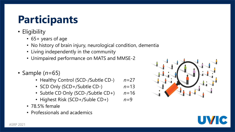## **Participants**

- Eligibility
	- 65+ years of age
	- No history of brain injury, neurological condition, dementia
	- Living independently in the community
	- Unimpaired performance on MATS and MMSE-2
- Sample (*n*=65)
	- Healthy Control (SCD-/Subtle CD-) *n*=27
	- SCD Only (SCD+/Subtle CD-) *n*=13
	- Subtle CD Only (SCD-/Subtle CD+) *n*=16
	- Highest Risk (SCD+/Suble CD+) *n*=9
	- 78.5% female
	- Professionals and academics



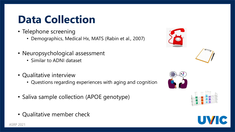## **Data Collection**

- Telephone screening
	- Demographics, Medical Hx, MATS (Rabin et al., 2007)
- Neuropsychological assessment
	- Similar to ADNI dataset
- Qualitative interview
	- Questions regarding experiences with aging and cognition
- Saliva sample collection (APOE genotype)
- Qualitative member check

ASRP 2021









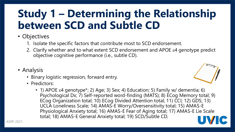## **Study 1 – Determining the Relationship between SCD and Subtle CD**

### • Objectives

- 1. Isolate the specific factors that contribute most to SCD endorsement.
- 2. Clarify whether and to what extent SCD endorsement and APOE  $\varepsilon$ 4 genotype predict objective cognitive performance (i.e., subtle CD).
- Analysis
	- Binary logistic regression, forward entry.
	- Predictors:
		- 1) APOE  $\varepsilon$ 4 genotype\*; 2) Age; 3) Sex; 4) Education; 5) Family w/ dementia; 6) Psychological Dx; 7) Self-reported word-finding (MATS); 8) ECog Memory total; 9) ECog Organization total; 10) ECog Divided Attention total; 11) CCI; 12) GDS; 13) UCLA Loneliness Scale; 14) AMAS-E Worry/Oversensitivity total; 15) AMAS-E Physiological Anxiety total; 16) AMAS-E Fear of Aging total; 17) AMAS-E Lie Scale total; 18) AMAS-E General Anxiety total; 19) SCD/Subtle CD.

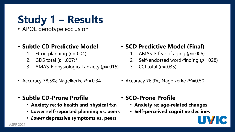# **Study 1 – Results**

• APOE genotype exclusion

#### • **Subtle CD Predictive Model**

- 1. ECog planning (*p*=.004)
- 2. GDS total (*p*=.007)\*
- 3. AMAS-E physiological anxiety (*p*=.015)
- Accuracy 78.5%; Nagelkerke *R* <sup>2</sup>=0.34
- **Subtle CD-Prone Profile**
	- **Anxiety re: to health and physical fxn**
	- **Lower self-reported planning vs. peers**
	- *Lower* **depressive symptoms vs. peers**

• **SCD Predictive Model (Final)** 

- 1. AMAS-E fear of aging (*p*=.006);
- 2. Self-endorsed word-finding (*p*=.028)
- 3. CCI total (*p*=.035)
- Accuracy 76.9%; Nagelkerke *R* <sup>2</sup>=0.50
- **SCD-Prone Profile**
	- **Anxiety re: age-related changes**
	- **Self-perceived cognitive declines**

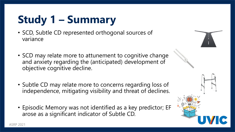# **Study 1 – Summary**

- SCD, Subtle CD represented orthogonal sources of variance
- SCD may relate more to attunement to cognitive change and anxiety regarding the (anticipated) development of objective cognitive decline.
- Subtle CD may relate more to concerns regarding loss of independence, mitigating visibility and threat of declines.
- Episodic Memory was not identified as a key predictor; EF arose as a significant indicator of Subtle CD.

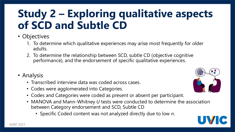## **Study 2 – Exploring qualitative aspects of SCD and Subtle CD**

### • Objectives

- 1. To determine which qualitative experiences may arise most frequently for older adults.
- 2. To determine the relationship between SCD, subtle CD (objective cognitive performance), and the endorsement of specific qualitative experiences.
- Analysis
	- Transcribed interview data was coded across cases.
	- Codes were agglomerated into Categories.
	- Codes and Categories were coded as present or absent per participant.
	- MANOVA and Mann-Whitney *U* tests were conducted to determine the association between Category endorsement and SCD, Subtle CD
		- Specific Coded content was not analyzed directly due to low *n*.

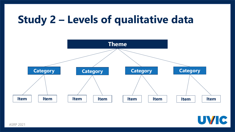## **Study 2 – Levels of qualitative data**



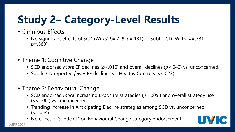# **Study 2– Category-Level Results**

- Omnibus Effects
	- No significant effects of SCD (Wilks'  $\lambda = .729$ ,  $p = .181$ ) or Subtle CD (Wilks'  $\lambda = .781$ , *p*=.369).
- Theme 1: Cognitive Change
	- SCD endorsed *more* EF declines (*p*<.010) and overall declines (*p*<.040) vs. unconcerned.
	- Subtle CD reported *fewer* EF declines vs. Healthy Controls (*p*<.023).
- Theme 2: Behavioural Change
	- SCD endorsed *more* Increasing Exposure strategies (*p*=.005 ) and overall strategy use (*p*<.000 ) vs. unconcerned.
	- Trending increase in Anticipating Decline strategies among SCD vs. unconcerned (*p*=.054).
	- No effect of Subtle CD on Behavioural Change category endorsement.

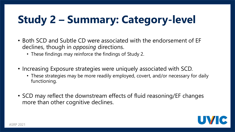# **Study 2 – Summary: Category-level**

- Both SCD and Subtle CD were associated with the endorsement of EF declines, though in *opposing* directions.
	- These findings may reinforce the findings of Study 2.
- Increasing Exposure strategies were uniquely associated with SCD.
	- These strategies may be more readily employed, covert, and/or necessary for daily functioning.
- SCD may reflect the downstream effects of fluid reasoning/EF changes more than other cognitive declines.

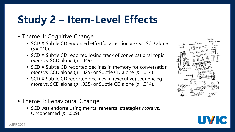## **Study 2 – Item-Level Effects**

- Theme 1: Cognitive Change
	- SCD X Subtle CD endorsed effortful attention *less* vs. SCD alone  $(p=.010)$ .
	- SCD X Subtle CD reported losing track of conversational topic *more* vs. SCD alone (*p*=.049).
	- SCD X Subtle CD reported declines in memory for conversation *more* vs. SCD alone (*p*=.025) or Subtle CD alone (*p*=.014).
	- SCD X Subtle CD reported declines in (executive) sequencing *more* vs. SCD alone (*p*=.025) or Subtle CD alone (*p*=.014).
- Theme 2: Behavioural Change
	- SCD was endorse using mental rehearsal strategies *more* vs. Unconcerned (*p*=.009).



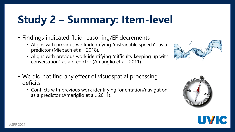# **Study 2 – Summary: Item-level**

- Findings indicated fluid reasoning/EF decrements
	- Aligns with previous work identifying "distractible speech" as a predictor (Miebach et al., 2018).
	- Aligns with previous work identifying "difficulty keeping up with conversation" as a predictor (Amariglio et al., 2011).
- We did not find any effect of visuospatial processing deficits
	- Conflicts with previous work identifying "orientation/navigation" as a predictor (Amariglio et al., 2011).





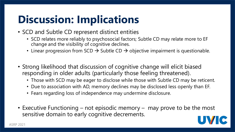## **Discussion: Implications**

- SCD and Subtle CD represent distinct entities
	- SCD relates more reliably to psychosocial factors; Subtle CD may relate more to EF change and the visibility of cognitive declines.
	- Linear progression from SCD  $\rightarrow$  Subtle CD  $\rightarrow$  objective impairment is questionable.
- Strong likelihood that discussion of cognitive change will elicit biased responding in older adults (particularly those feeling threatened).
	- Those with SCD may be eager to disclose while those with Subtle CD may be reticent.
	- Due to association with AD, memory declines may be disclosed less openly than EF.
	- Fears regarding loss of independence may undermine disclosure.
- Executive Functioning not episodic memory may prove to be the most sensitive domain to early cognitive decrements.

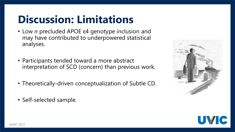## **Discussion: Limitations**

- Low *n* precluded APOE ε4 genotype inclusion and may have contributed to underpowered statistical analyses.
- Participants tended toward a more abstract interpretation of SCD (concern) than previous work.
- Theoretically-driven conceptualization of Subtle CD.
- Self-selected sample.



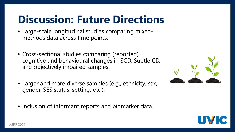## **Discussion: Future Directions**

- Large-scale longitudinal studies comparing mixedmethods data across time points.
- Cross-sectional studies comparing (reported) cognitive and behavioural changes in SCD, Subtle CD, and objectively impaired samples.
- Larger and more diverse samples (e.g., ethnicity, sex, gender, SES status, setting, etc.).
- Inclusion of informant reports and biomarker data.